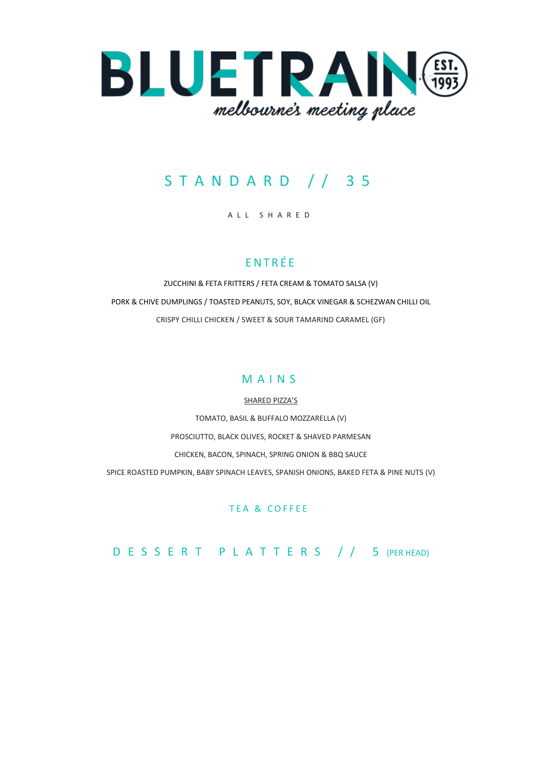

# S T A N D A R D / / 3 5

#### A L L S H A R E D

## **ENTRÉE**

ZUCCHINI & FETA FRITTERS / FETA CREAM & TOMATO SALSA (V) PORK & CHIVE DUMPLINGS / TOASTED PEANUTS, SOY, BLACK VINEGAR & SCHEZWAN CHILLI OIL CRISPY CHILLI CHICKEN / SWEET & SOUR TAMARIND CARAMEL (GF)

### M A I N S

SHARED PIZZA'S TOMATO, BASIL & BUFFALO MOZZARELLA (V) PROSCIUTTO, BLACK OLIVES, ROCKET & SHAVED PARMESAN CHICKEN, BACON, SPINACH, SPRING ONION & BBQ SAUCE SPICE ROASTED PUMPKIN, BABY SPINACH LEAVES, SPANISH ONIONS, BAKED FETA & PINE NUTS (V)

### TEA & COFFEE

D E S S E R T P L A T T E R S / / 5 (PER HEAD)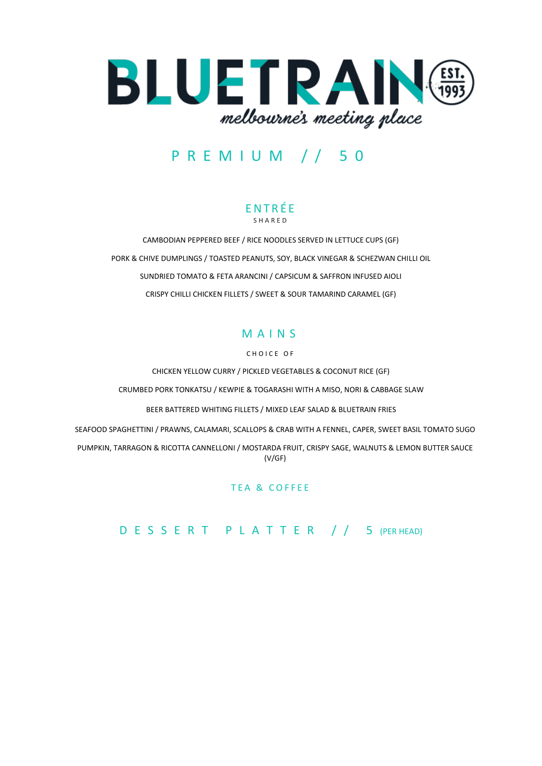

## P R E M I U M / / 5 0

#### E N T R É E S H A R E D

CAMBODIAN PEPPERED BEEF / RICE NOODLES SERVED IN LETTUCE CUPS (GF) PORK & CHIVE DUMPLINGS / TOASTED PEANUTS, SOY, BLACK VINEGAR & SCHEZWAN CHILLI OIL SUNDRIED TOMATO & FETA ARANCINI / CAPSICUM & SAFFRON INFUSED AIOLI CRISPY CHILLI CHICKEN FILLETS / SWEET & SOUR TAMARIND CARAMEL (GF)

## M A I N S

#### CHOICE OF

CHICKEN YELLOW CURRY / PICKLED VEGETABLES & COCONUT RICE (GF) CRUMBED PORK TONKATSU / KEWPIE & TOGARASHI WITH A MISO, NORI & CABBAGE SLAW

BEER BATTERED WHITING FILLETS / MIXED LEAF SALAD & BLUETRAIN FRIES

SEAFOOD SPAGHETTINI / PRAWNS, CALAMARI, SCALLOPS & CRAB WITH A FENNEL, CAPER, SWEET BASIL TOMATO SUGO PUMPKIN, TARRAGON & RICOTTA CANNELLONI / MOSTARDA FRUIT, CRISPY SAGE, WALNUTS & LEMON BUTTER SAUCE (V/GF)

#### TEA & COFFEE

D E S S E R T P L A T T E R / / 5 (PER HEAD)